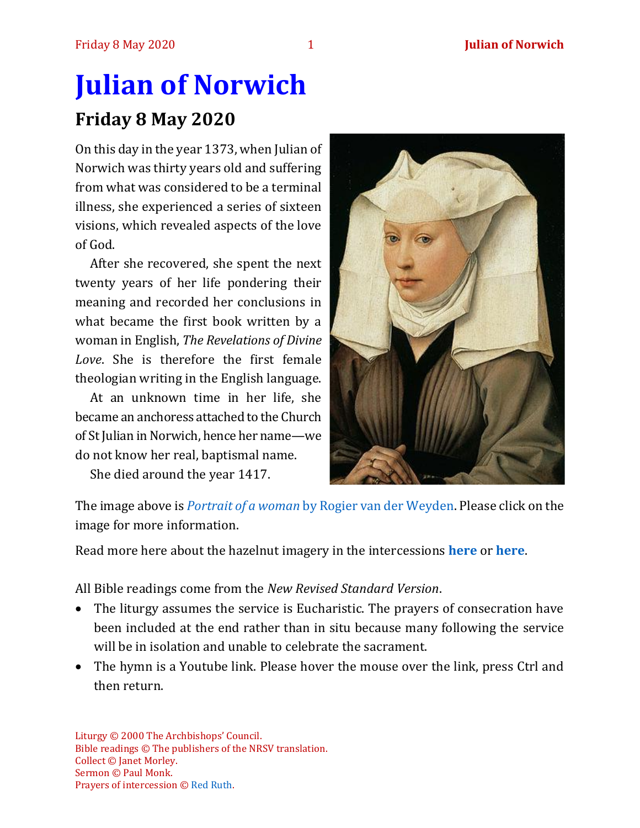# **Julian of Norwich Friday 8 May 2020**

On this day in the year 1373, when Julian of Norwich was thirty years old and suffering from what was considered to be a terminal illness, she experienced a series of sixteen visions, which revealed aspects of the love of God.

After she recovered, she spent the next twenty years of her life pondering their meaning and recorded her conclusions in what became the first book written by a woman in English, *The Revelations of Divine Love*. She is therefore the first female theologian writing in the English language.

At an unknown time in her life, she became an anchoress attached to the Church of St Julian in Norwich, hence her name—we do not know her real, baptismal name.

She died around the year 1417.



The image above is *Portrait of a woman* [by Rogier van der Weyden.](https://en.wikipedia.org/wiki/Portrait_of_a_Woman_(van_der_Weyden)) Please click on the image for more information.

Read more here about the hazelnut imagery in the intercessions **[here](http://intotheexpectation.blogspot.com/2012/05/praying-with-julian-of-norwich-and.html)** or **[here](https://zoepopper.wordpress.com/2018/09/18/julian-of-norwich-creation-as-tiny-as-a-hazelnut/)**.

All Bible readings come from the *New Revised Standard Version*.

- The liturgy assumes the service is Eucharistic. The prayers of consecration have been included at the end rather than in situ because many following the service will be in isolation and unable to celebrate the sacrament.
- The hymn is a Youtube link. Please hover the mouse over the link, press Ctrl and then return.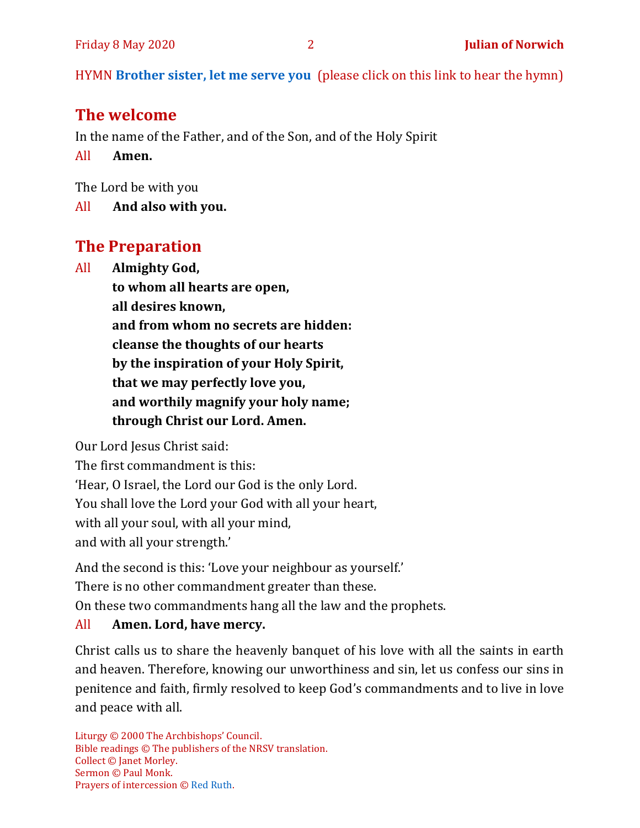HYMN **[Brother sister, let me serve you](https://www.youtube.com/watch?v=hlNoxoOocZs)** (please click on this link to hear the hymn)

## **The welcome**

In the name of the Father, and of the Son, and of the Holy Spirit

All **Amen.**

The Lord be with you

All **And also with you.**

# **The Preparation**

All **Almighty God, to whom all hearts are open, all desires known, and from whom no secrets are hidden: cleanse the thoughts of our hearts by the inspiration of your Holy Spirit, that we may perfectly love you, and worthily magnify your holy name; through Christ our Lord. Amen.**

Our Lord Jesus Christ said:

The first commandment is this:

'Hear, O Israel, the Lord our God is the only Lord.

You shall love the Lord your God with all your heart,

with all your soul, with all your mind,

and with all your strength.'

And the second is this: 'Love your neighbour as yourself.'

There is no other commandment greater than these.

On these two commandments hang all the law and the prophets.

#### All **Amen. Lord, have mercy.**

Christ calls us to share the heavenly banquet of his love with all the saints in earth and heaven. Therefore, knowing our unworthiness and sin, let us confess our sins in penitence and faith, firmly resolved to keep God's commandments and to live in love and peace with all.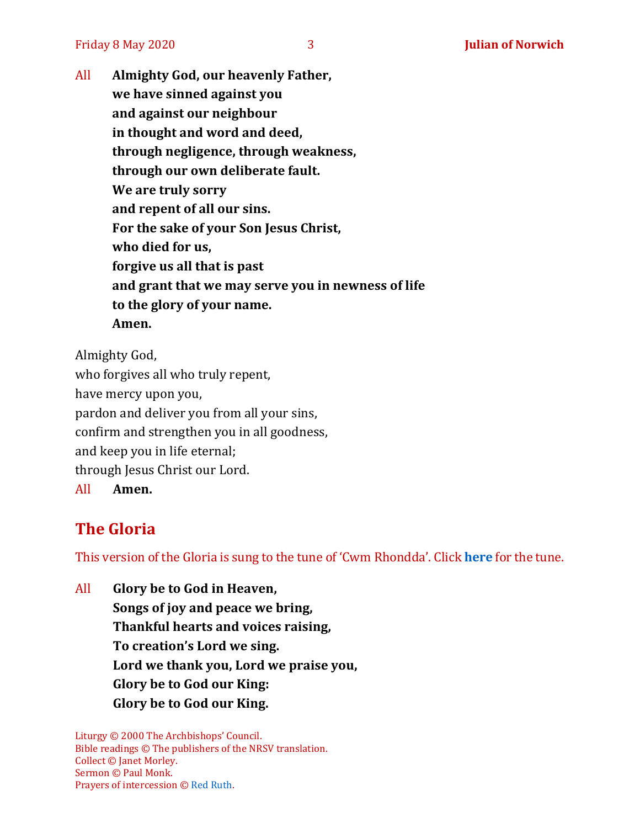Friday 8 May 2020 3 **Julian of Norwich**

All **Almighty God, our heavenly Father, we have sinned against you and against our neighbour in thought and word and deed, through negligence, through weakness, through our own deliberate fault. We are truly sorry and repent of all our sins. For the sake of your Son Jesus Christ, who died for us, forgive us all that is past and grant that we may serve you in newness of life to the glory of your name. Amen.**

Almighty God, who forgives all who truly repent, have mercy upon you, pardon and deliver you from all your sins, confirm and strengthen you in all goodness, and keep you in life eternal; through Jesus Christ our Lord.

All **Amen.**

# **The Gloria**

This version of the Gloria is sung to the tune of 'Cwm Rhondda'. Click **[here](https://www.youtube.com/watch?v=BtGhnEwY74E)** for the tune.

All **Glory be to God in Heaven, Songs of joy and peace we bring, Thankful hearts and voices raising, To creation's Lord we sing. Lord we thank you, Lord we praise you, Glory be to God our King: Glory be to God our King.**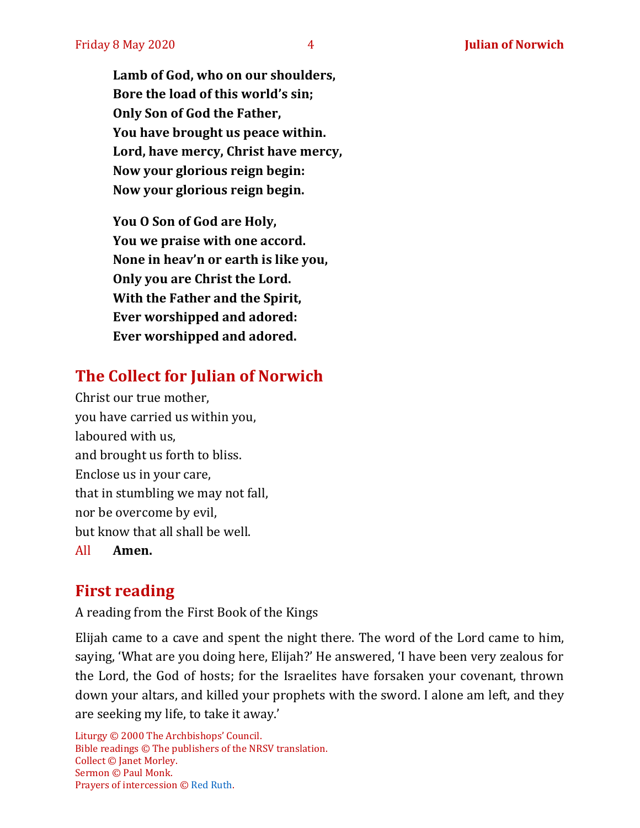**Lamb of God, who on our shoulders, Bore the load of this world's sin; Only Son of God the Father, You have brought us peace within. Lord, have mercy, Christ have mercy, Now your glorious reign begin: Now your glorious reign begin.**

**You O Son of God are Holy, You we praise with one accord. None in heav'n or earth is like you, Only you are Christ the Lord. With the Father and the Spirit, Ever worshipped and adored: Ever worshipped and adored.**

# **The Collect for Julian of Norwich**

Christ our true mother, you have carried us within you, laboured with us, and brought us forth to bliss. Enclose us in your care, that in stumbling we may not fall, nor be overcome by evil, but know that all shall be well. All **Amen.**

# **First reading**

A reading from the First Book of the Kings

Elijah came to a cave and spent the night there. The word of the Lord came to him, saying, 'What are you doing here, Elijah?' He answered, 'I have been very zealous for the Lord, the God of hosts; for the Israelites have forsaken your covenant, thrown down your altars, and killed your prophets with the sword. I alone am left, and they are seeking my life, to take it away.'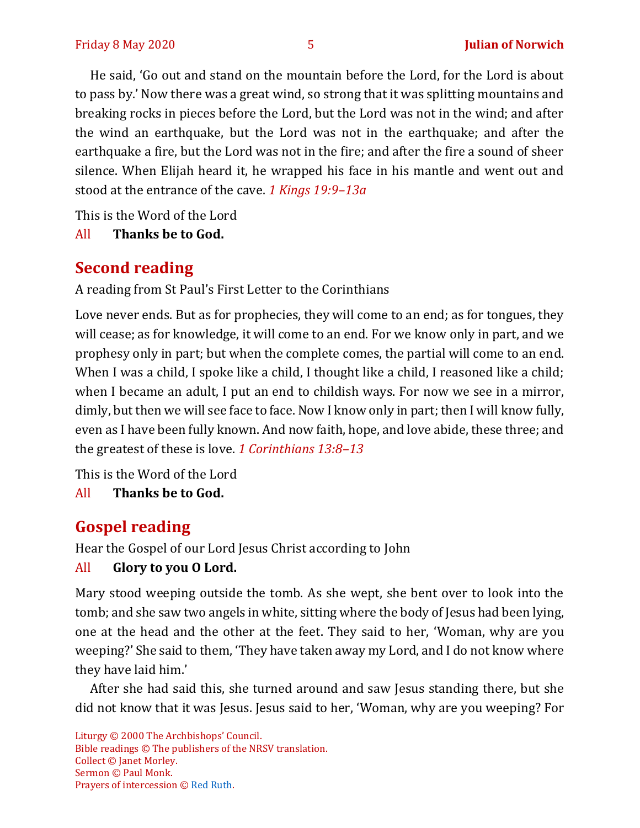He said, 'Go out and stand on the mountain before the Lord, for the Lord is about to pass by.' Now there was a great wind, so strong that it was splitting mountains and breaking rocks in pieces before the Lord, but the Lord was not in the wind; and after the wind an earthquake, but the Lord was not in the earthquake; and after the earthquake a fire, but the Lord was not in the fire; and after the fire a sound of sheer silence. When Elijah heard it, he wrapped his face in his mantle and went out and stood at the entrance of the cave. *1 Kings 19:9–13a*

This is the Word of the Lord

All **Thanks be to God.**

# **Second reading**

A reading from St Paul's First Letter to the Corinthians

Love never ends. But as for prophecies, they will come to an end; as for tongues, they will cease; as for knowledge, it will come to an end. For we know only in part, and we prophesy only in part; but when the complete comes, the partial will come to an end. When I was a child, I spoke like a child, I thought like a child, I reasoned like a child; when I became an adult, I put an end to childish ways. For now we see in a mirror, dimly, but then we will see face to face. Now I know only in part; then I will know fully, even as I have been fully known. And now faith, hope, and love abide, these three; and the greatest of these is love. *1 Corinthians 13:8–13*

This is the Word of the Lord

All **Thanks be to God.**

# **Gospel reading**

Hear the Gospel of our Lord Jesus Christ according to John

#### All **Glory to you O Lord.**

Mary stood weeping outside the tomb. As she wept, she bent over to look into the tomb; and she saw two angels in white, sitting where the body of Jesus had been lying, one at the head and the other at the feet. They said to her, 'Woman, why are you weeping?' She said to them, 'They have taken away my Lord, and I do not know where they have laid him.'

After she had said this, she turned around and saw Jesus standing there, but she did not know that it was Jesus. Jesus said to her, 'Woman, why are you weeping? For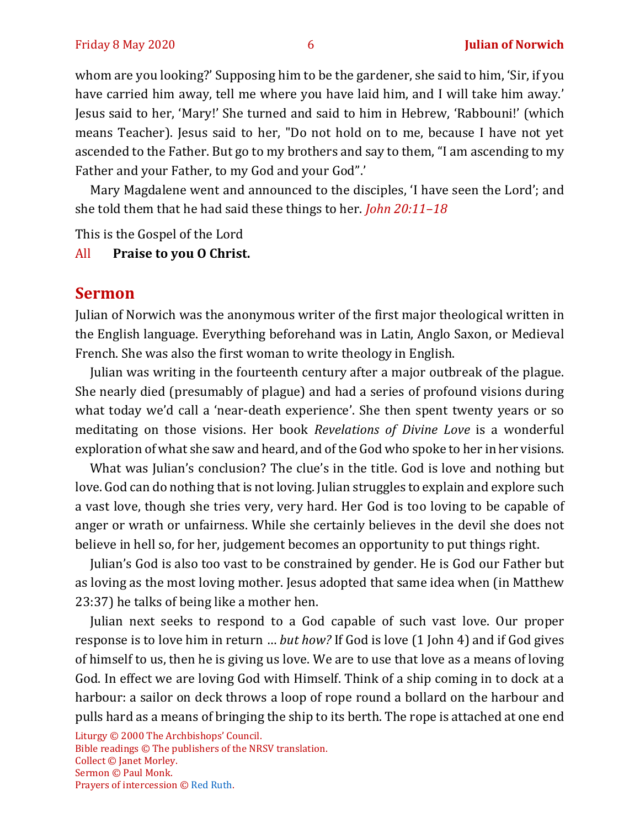whom are you looking?' Supposing him to be the gardener, she said to him, 'Sir, if you have carried him away, tell me where you have laid him, and I will take him away.' Jesus said to her, 'Mary!' She turned and said to him in Hebrew, 'Rabbouni!' (which means Teacher). Jesus said to her, "Do not hold on to me, because I have not yet ascended to the Father. But go to my brothers and say to them, "I am ascending to my Father and your Father, to my God and your God".'

Mary Magdalene went and announced to the disciples, 'I have seen the Lord'; and she told them that he had said these things to her. *John 20:11–18*

This is the Gospel of the Lord

#### All **Praise to you O Christ.**

#### **Sermon**

Julian of Norwich was the anonymous writer of the first major theological written in the English language. Everything beforehand was in Latin, Anglo Saxon, or Medieval French. She was also the first woman to write theology in English.

Julian was writing in the fourteenth century after a major outbreak of the plague. She nearly died (presumably of plague) and had a series of profound visions during what today we'd call a 'near-death experience'. She then spent twenty years or so meditating on those visions. Her book *Revelations of Divine Love* is a wonderful exploration of what she saw and heard, and of the God who spoke to her in her visions.

What was Julian's conclusion? The clue's in the title. God is love and nothing but love. God can do nothing that is not loving. Julian struggles to explain and explore such a vast love, though she tries very, very hard. Her God is too loving to be capable of anger or wrath or unfairness. While she certainly believes in the devil she does not believe in hell so, for her, judgement becomes an opportunity to put things right.

Julian's God is also too vast to be constrained by gender. He is God our Father but as loving as the most loving mother. Jesus adopted that same idea when (in Matthew 23:37) he talks of being like a mother hen.

Julian next seeks to respond to a God capable of such vast love. Our proper response is to love him in return … *but how?* If God is love (1 John 4) and if God gives of himself to us, then he is giving us love. We are to use that love as a means of loving God. In effect we are loving God with Himself. Think of a ship coming in to dock at a harbour: a sailor on deck throws a loop of rope round a bollard on the harbour and pulls hard as a means of bringing the ship to its berth. The rope is attached at one end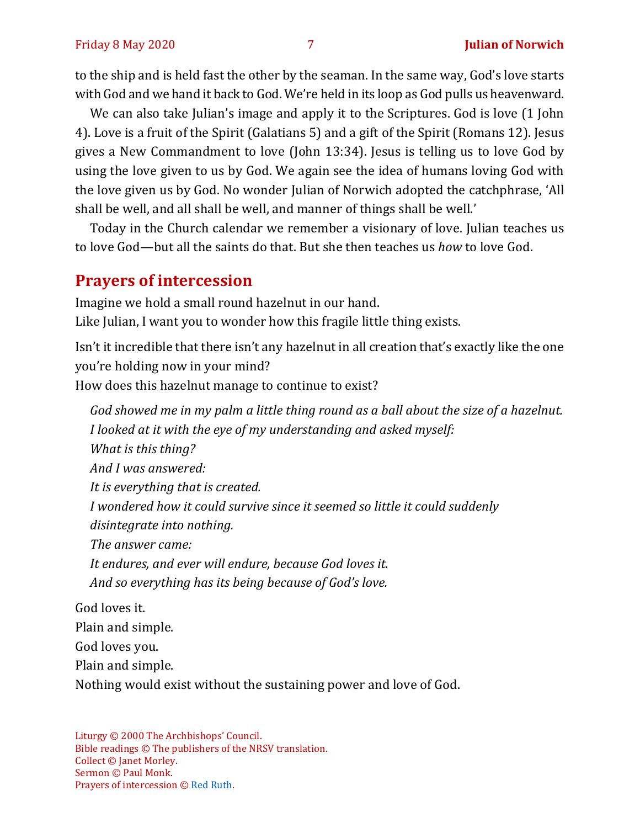to the ship and is held fast the other by the seaman. In the same way, God's love starts with God and we hand it back to God. We're held in its loop as God pulls us heavenward.

We can also take Julian's image and apply it to the Scriptures. God is love (1 John 4). Love is a fruit of the Spirit (Galatians 5) and a gift of the Spirit (Romans 12). Jesus gives a New Commandment to love (John 13:34). Jesus is telling us to love God by using the love given to us by God. We again see the idea of humans loving God with the love given us by God. No wonder Julian of Norwich adopted the catchphrase, 'All shall be well, and all shall be well, and manner of things shall be well.'

Today in the Church calendar we remember a visionary of love. Julian teaches us to love God—but all the saints do that. But she then teaches us *how* to love God.

#### **Prayers of intercession**

Imagine we hold a small round hazelnut in our hand. Like Julian, I want you to wonder how this fragile little thing exists.

Isn't it incredible that there isn't any hazelnut in all creation that's exactly like the one you're holding now in your mind? How does this hazelnut manage to continue to exist?

*God showed me in my palm a little thing round as a ball about the size of a hazelnut. I looked at it with the eye of my understanding and asked myself: What is this thing? And I was answered: It is everything that is created. I wondered how it could survive since it seemed so little it could suddenly disintegrate into nothing. The answer came: It endures, and ever will endure, because God loves it. And so everything has its being because of God's love.* God loves it. Plain and simple.

God loves you.

Plain and simple.

Nothing would exist without the sustaining power and love of God.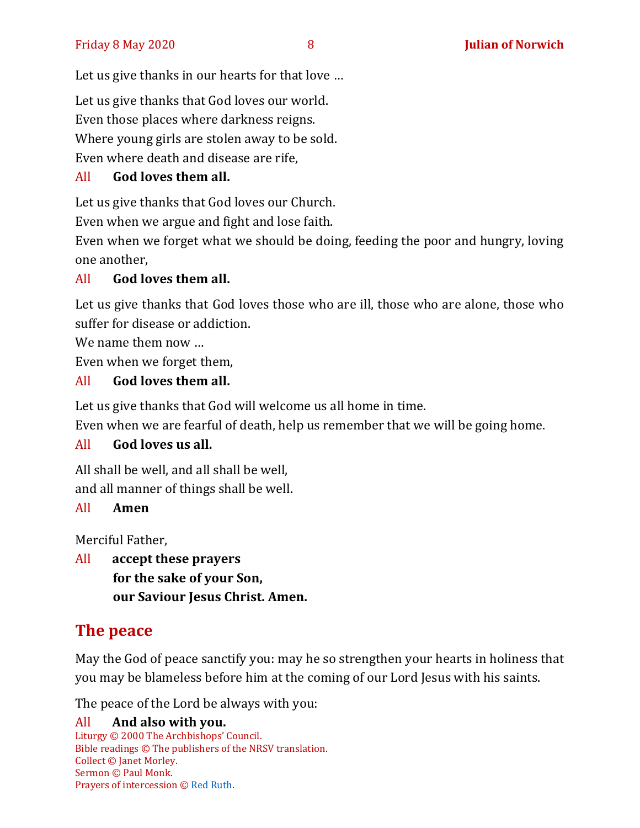Let us give thanks in our hearts for that love …

Let us give thanks that God loves our world.

Even those places where darkness reigns.

Where young girls are stolen away to be sold.

Even where death and disease are rife,

# All **God loves them all.**

Let us give thanks that God loves our Church.

Even when we argue and fight and lose faith.

Even when we forget what we should be doing, feeding the poor and hungry, loving one another,

### All **God loves them all.**

Let us give thanks that God loves those who are ill, those who are alone, those who suffer for disease or addiction.

We name them now …

Even when we forget them,

# All **God loves them all.**

Let us give thanks that God will welcome us all home in time.

Even when we are fearful of death, help us remember that we will be going home.

# All **God loves us all.**

All shall be well, and all shall be well, and all manner of things shall be well.

#### All **Amen**

Merciful Father,

All **accept these prayers for the sake of your Son, our Saviour Jesus Christ. Amen.**

# **The peace**

May the God of peace sanctify you: may he so strengthen your hearts in holiness that you may be blameless before him at the coming of our Lord Jesus with his saints.

The peace of the Lord be always with you: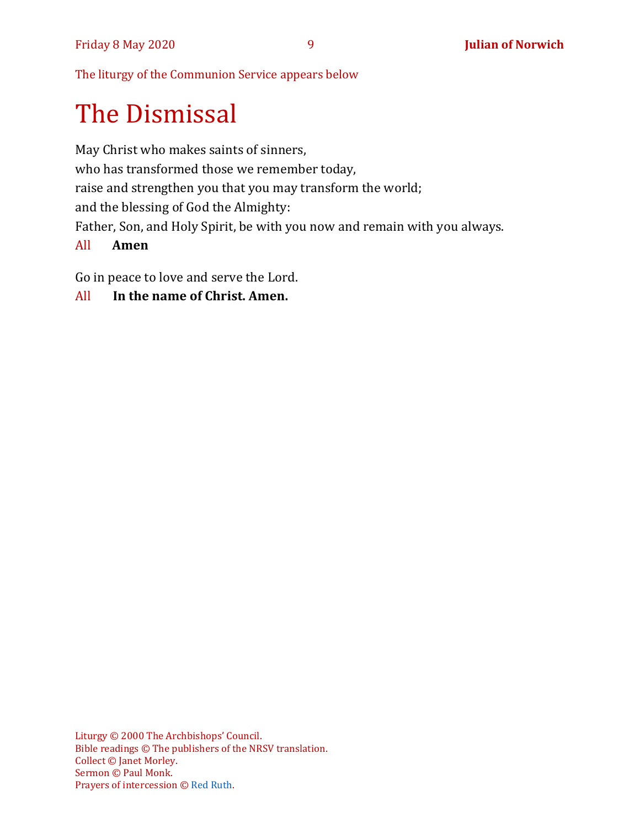The liturgy of the Communion Service appears below

# The Dismissal

May Christ who makes saints of sinners, who has transformed those we remember today, raise and strengthen you that you may transform the world; and the blessing of God the Almighty: Father, Son, and Holy Spirit, be with you now and remain with you always.

#### All **Amen**

Go in peace to love and serve the Lord.

#### All **In the name of Christ. Amen.**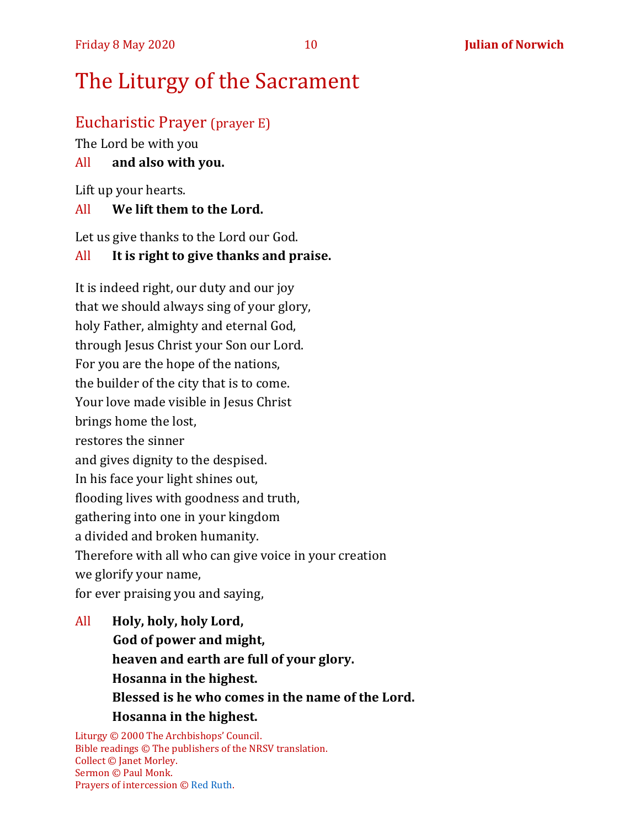# The Liturgy of the Sacrament

#### Eucharistic Prayer (prayer E)

The Lord be with you

#### All **and also with you.**

Lift up your hearts.

#### All **We lift them to the Lord.**

Let us give thanks to the Lord our God.

#### All **It is right to give thanks and praise.**

It is indeed right, our duty and our joy that we should always sing of your glory, holy Father, almighty and eternal God, through Jesus Christ your Son our Lord. For you are the hope of the nations, the builder of the city that is to come. Your love made visible in Jesus Christ brings home the lost, restores the sinner and gives dignity to the despised. In his face your light shines out, flooding lives with goodness and truth, gathering into one in your kingdom a divided and broken humanity. Therefore with all who can give voice in your creation we glorify your name, for ever praising you and saying,

All **Holy, holy, holy Lord, God of power and might, heaven and earth are full of your glory. Hosanna in the highest. Blessed is he who comes in the name of the Lord. Hosanna in the highest.**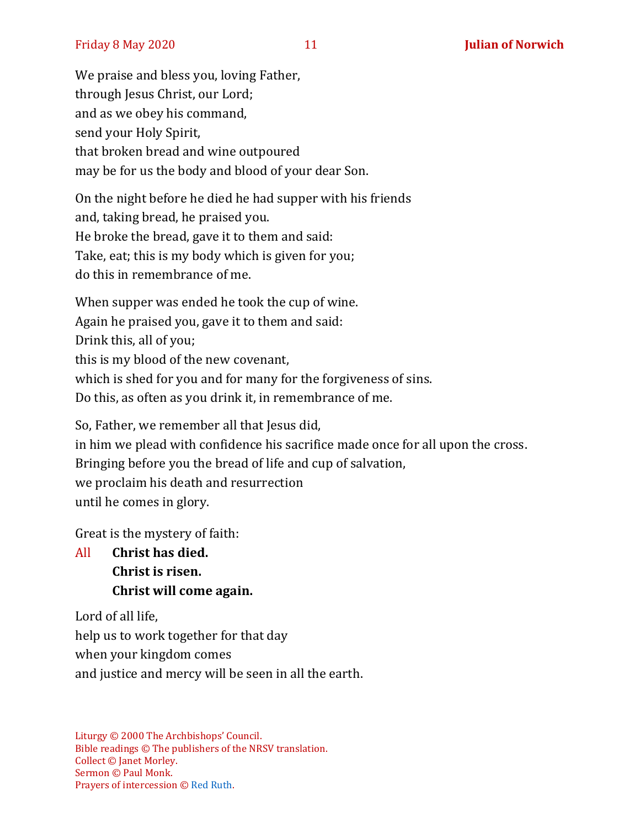We praise and bless you, loving Father, through Jesus Christ, our Lord; and as we obey his command, send your Holy Spirit, that broken bread and wine outpoured may be for us the body and blood of your dear Son.

On the night before he died he had supper with his friends and, taking bread, he praised you. He broke the bread, gave it to them and said: Take, eat; this is my body which is given for you; do this in remembrance of me.

When supper was ended he took the cup of wine. Again he praised you, gave it to them and said: Drink this, all of you; this is my blood of the new covenant, which is shed for you and for many for the forgiveness of sins. Do this, as often as you drink it, in remembrance of me.

So, Father, we remember all that Jesus did, in him we plead with confidence his sacrifice made once for all upon the cross. Bringing before you the bread of life and cup of salvation, we proclaim his death and resurrection until he comes in glory.

Great is the mystery of faith:

All **Christ has died. Christ is risen. Christ will come again.**

Lord of all life, help us to work together for that day when your kingdom comes and justice and mercy will be seen in all the earth.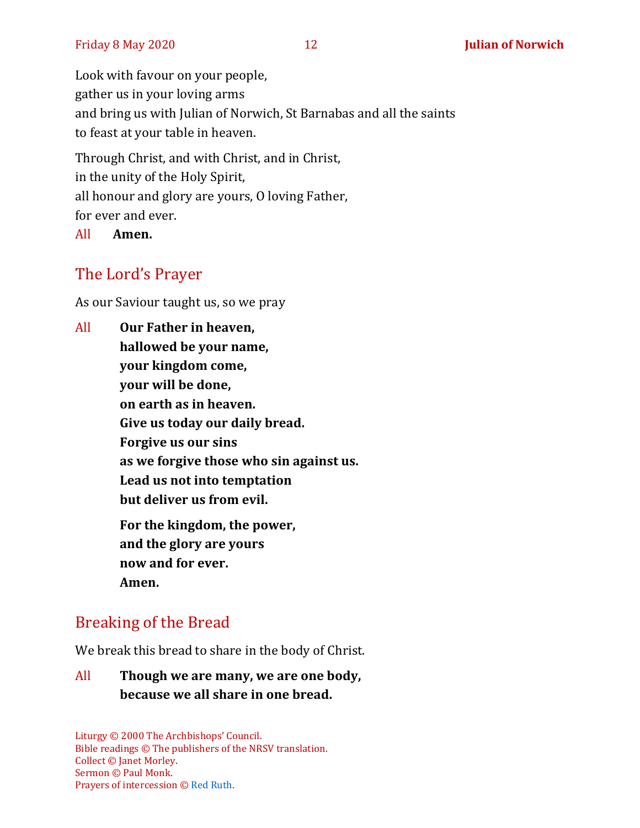Look with favour on your people, gather us in your loving arms and bring us with Julian of Norwich, St Barnabas and all the saints to feast at your table in heaven.

Through Christ, and with Christ, and in Christ, in the unity of the Holy Spirit, all honour and glory are yours, O loving Father, for ever and ever.

All **Amen.**

# The Lord's Prayer

As our Saviour taught us, so we pray

All **Our Father in heaven, hallowed be your name, your kingdom come, your will be done, on earth as in heaven. Give us today our daily bread. Forgive us our sins as we forgive those who sin against us. Lead us not into temptation but deliver us from evil. For the kingdom, the power, and the glory are yours now and for ever. Amen.**

#### Breaking of the Bread

We break this bread to share in the body of Christ.

#### All **Though we are many, we are one body, because we all share in one bread.**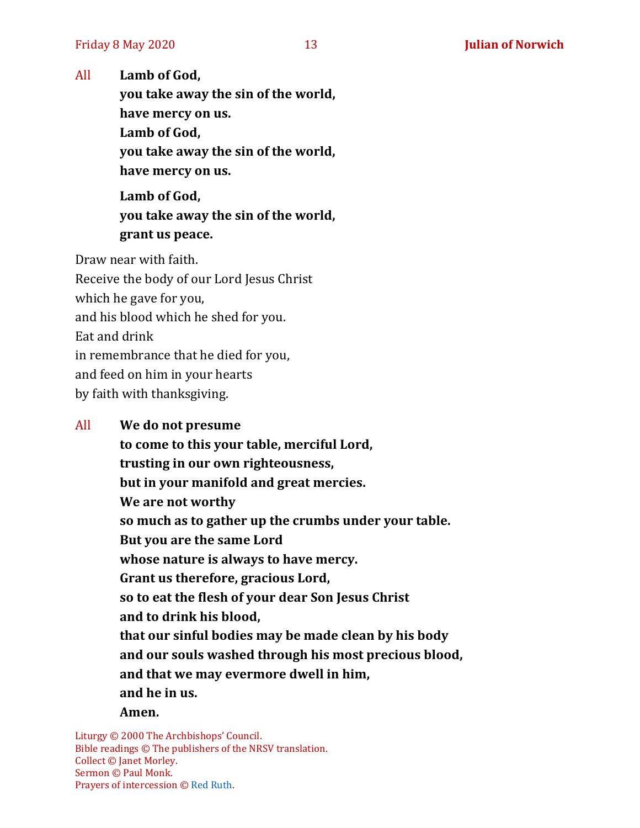All **Lamb of God,**

**you take away the sin of the world, have mercy on us. Lamb of God, you take away the sin of the world, have mercy on us.**

**Lamb of God, you take away the sin of the world, grant us peace.**

Draw near with faith.

Receive the body of our Lord Jesus Christ which he gave for you, and his blood which he shed for you. Eat and drink in remembrance that he died for you, and feed on him in your hearts by faith with thanksgiving.

All **We do not presume**

**to come to this your table, merciful Lord, trusting in our own righteousness, but in your manifold and great mercies. We are not worthy so much as to gather up the crumbs under your table. But you are the same Lord whose nature is always to have mercy. Grant us therefore, gracious Lord, so to eat the flesh of your dear Son Jesus Christ and to drink his blood, that our sinful bodies may be made clean by his body and our souls washed through his most precious blood, and that we may evermore dwell in him, and he in us. Amen.**